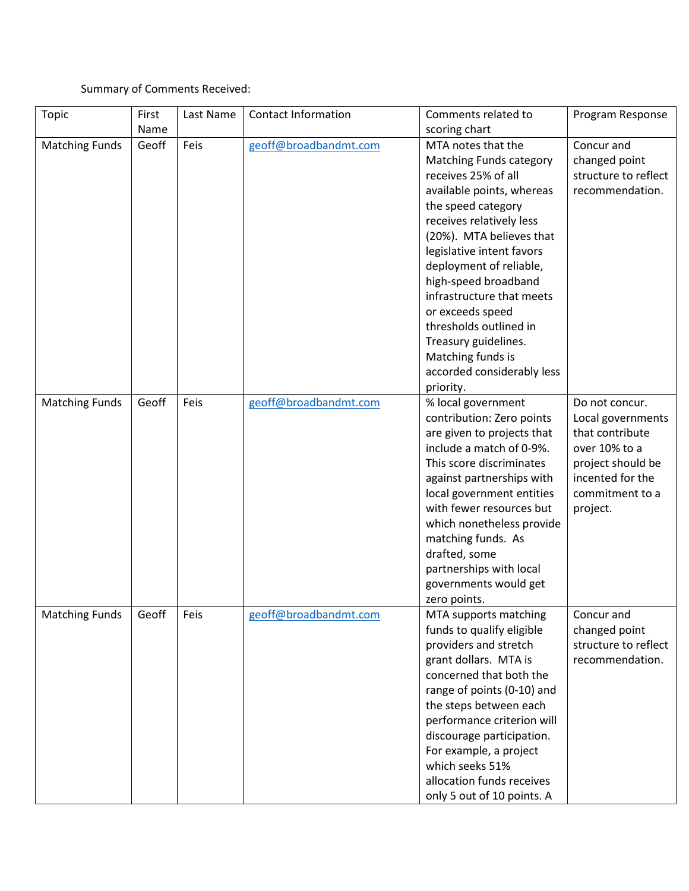## Summary of Comments Received:

| <b>Topic</b>          | First | Last Name | <b>Contact Information</b> | Comments related to            | Program Response     |
|-----------------------|-------|-----------|----------------------------|--------------------------------|----------------------|
|                       | Name  |           |                            | scoring chart                  |                      |
| <b>Matching Funds</b> | Geoff | Feis      | geoff@broadbandmt.com      | MTA notes that the             | Concur and           |
|                       |       |           |                            | <b>Matching Funds category</b> | changed point        |
|                       |       |           |                            | receives 25% of all            | structure to reflect |
|                       |       |           |                            | available points, whereas      | recommendation.      |
|                       |       |           |                            | the speed category             |                      |
|                       |       |           |                            | receives relatively less       |                      |
|                       |       |           |                            | (20%). MTA believes that       |                      |
|                       |       |           |                            | legislative intent favors      |                      |
|                       |       |           |                            | deployment of reliable,        |                      |
|                       |       |           |                            | high-speed broadband           |                      |
|                       |       |           |                            | infrastructure that meets      |                      |
|                       |       |           |                            | or exceeds speed               |                      |
|                       |       |           |                            | thresholds outlined in         |                      |
|                       |       |           |                            | Treasury guidelines.           |                      |
|                       |       |           |                            | Matching funds is              |                      |
|                       |       |           |                            | accorded considerably less     |                      |
|                       |       |           |                            | priority.                      |                      |
| <b>Matching Funds</b> | Geoff | Feis      | geoff@broadbandmt.com      | % local government             | Do not concur.       |
|                       |       |           |                            | contribution: Zero points      | Local governments    |
|                       |       |           |                            | are given to projects that     | that contribute      |
|                       |       |           |                            | include a match of 0-9%.       | over 10% to a        |
|                       |       |           |                            | This score discriminates       | project should be    |
|                       |       |           |                            | against partnerships with      | incented for the     |
|                       |       |           |                            | local government entities      | commitment to a      |
|                       |       |           |                            | with fewer resources but       | project.             |
|                       |       |           |                            | which nonetheless provide      |                      |
|                       |       |           |                            | matching funds. As             |                      |
|                       |       |           |                            | drafted, some                  |                      |
|                       |       |           |                            | partnerships with local        |                      |
|                       |       |           |                            | governments would get          |                      |
|                       |       |           |                            | zero points.                   |                      |
| <b>Matching Funds</b> | Geoff | Feis      | geoff@broadbandmt.com      | MTA supports matching          | Concur and           |
|                       |       |           |                            | funds to qualify eligible      | changed point        |
|                       |       |           |                            | providers and stretch          | structure to reflect |
|                       |       |           |                            | grant dollars. MTA is          | recommendation.      |
|                       |       |           |                            | concerned that both the        |                      |
|                       |       |           |                            | range of points (0-10) and     |                      |
|                       |       |           |                            | the steps between each         |                      |
|                       |       |           |                            | performance criterion will     |                      |
|                       |       |           |                            | discourage participation.      |                      |
|                       |       |           |                            | For example, a project         |                      |
|                       |       |           |                            | which seeks 51%                |                      |
|                       |       |           |                            | allocation funds receives      |                      |
|                       |       |           |                            | only 5 out of 10 points. A     |                      |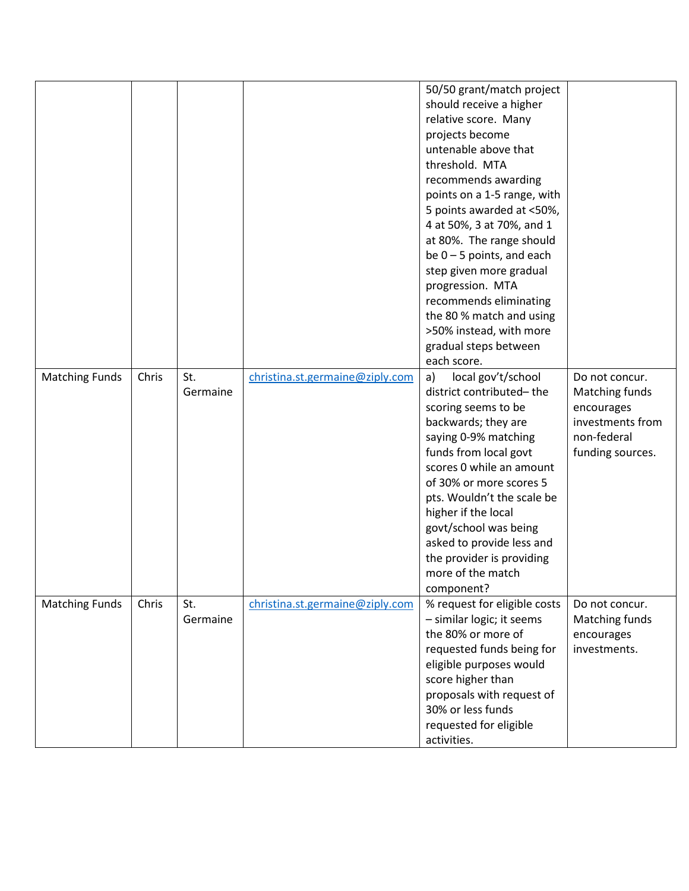|                       |       |          |                                 | 50/50 grant/match project    |                  |
|-----------------------|-------|----------|---------------------------------|------------------------------|------------------|
|                       |       |          |                                 | should receive a higher      |                  |
|                       |       |          |                                 | relative score. Many         |                  |
|                       |       |          |                                 | projects become              |                  |
|                       |       |          |                                 | untenable above that         |                  |
|                       |       |          |                                 | threshold. MTA               |                  |
|                       |       |          |                                 | recommends awarding          |                  |
|                       |       |          |                                 | points on a 1-5 range, with  |                  |
|                       |       |          |                                 | 5 points awarded at <50%,    |                  |
|                       |       |          |                                 | 4 at 50%, 3 at 70%, and 1    |                  |
|                       |       |          |                                 | at 80%. The range should     |                  |
|                       |       |          |                                 | be $0 - 5$ points, and each  |                  |
|                       |       |          |                                 | step given more gradual      |                  |
|                       |       |          |                                 | progression. MTA             |                  |
|                       |       |          |                                 | recommends eliminating       |                  |
|                       |       |          |                                 | the 80 % match and using     |                  |
|                       |       |          |                                 | >50% instead, with more      |                  |
|                       |       |          |                                 | gradual steps between        |                  |
|                       |       |          |                                 | each score.                  |                  |
| <b>Matching Funds</b> | Chris | St.      | christina.st.germaine@ziply.com | local gov't/school<br>a)     | Do not concur.   |
|                       |       | Germaine |                                 | district contributed-the     | Matching funds   |
|                       |       |          |                                 | scoring seems to be          | encourages       |
|                       |       |          |                                 | backwards; they are          | investments from |
|                       |       |          |                                 | saying 0-9% matching         | non-federal      |
|                       |       |          |                                 | funds from local govt        | funding sources. |
|                       |       |          |                                 | scores 0 while an amount     |                  |
|                       |       |          |                                 | of 30% or more scores 5      |                  |
|                       |       |          |                                 | pts. Wouldn't the scale be   |                  |
|                       |       |          |                                 | higher if the local          |                  |
|                       |       |          |                                 | govt/school was being        |                  |
|                       |       |          |                                 | asked to provide less and    |                  |
|                       |       |          |                                 | the provider is providing    |                  |
|                       |       |          |                                 | more of the match            |                  |
|                       |       |          |                                 | component?                   |                  |
| <b>Matching Funds</b> | Chris | St.      | christina.st.germaine@ziply.com | % request for eligible costs | Do not concur.   |
|                       |       | Germaine |                                 | - similar logic; it seems    | Matching funds   |
|                       |       |          |                                 | the 80% or more of           | encourages       |
|                       |       |          |                                 | requested funds being for    | investments.     |
|                       |       |          |                                 | eligible purposes would      |                  |
|                       |       |          |                                 | score higher than            |                  |
|                       |       |          |                                 | proposals with request of    |                  |
|                       |       |          |                                 | 30% or less funds            |                  |
|                       |       |          |                                 | requested for eligible       |                  |
|                       |       |          |                                 | activities.                  |                  |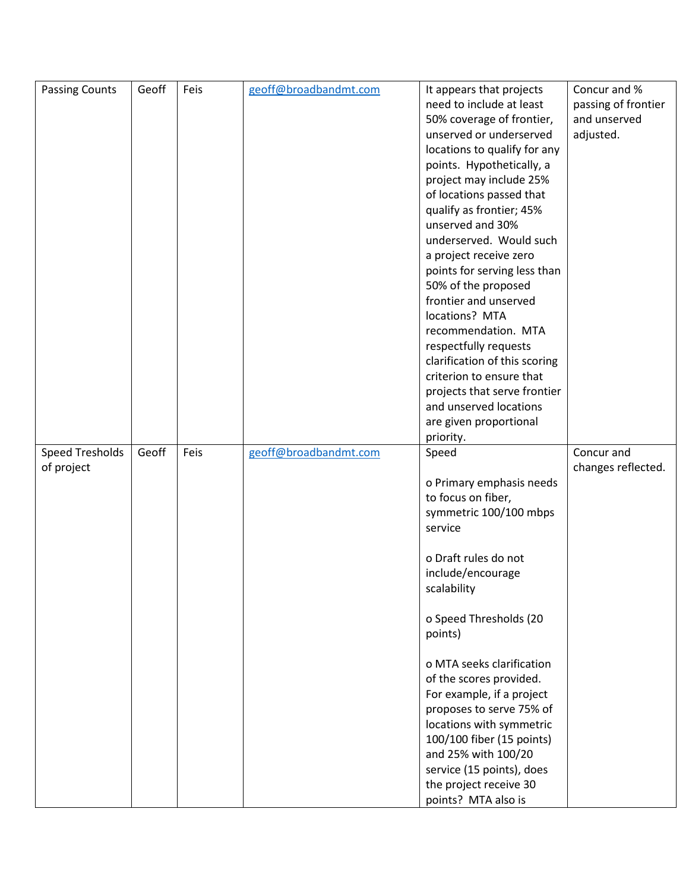| <b>Passing Counts</b>  | Geoff | Feis | geoff@broadbandmt.com | It appears that projects                      | Concur and %        |
|------------------------|-------|------|-----------------------|-----------------------------------------------|---------------------|
|                        |       |      |                       | need to include at least                      | passing of frontier |
|                        |       |      |                       | 50% coverage of frontier,                     | and unserved        |
|                        |       |      |                       | unserved or underserved                       | adjusted.           |
|                        |       |      |                       | locations to qualify for any                  |                     |
|                        |       |      |                       | points. Hypothetically, a                     |                     |
|                        |       |      |                       | project may include 25%                       |                     |
|                        |       |      |                       | of locations passed that                      |                     |
|                        |       |      |                       | qualify as frontier; 45%                      |                     |
|                        |       |      |                       | unserved and 30%                              |                     |
|                        |       |      |                       | underserved. Would such                       |                     |
|                        |       |      |                       | a project receive zero                        |                     |
|                        |       |      |                       | points for serving less than                  |                     |
|                        |       |      |                       | 50% of the proposed                           |                     |
|                        |       |      |                       | frontier and unserved                         |                     |
|                        |       |      |                       | locations? MTA                                |                     |
|                        |       |      |                       | recommendation. MTA                           |                     |
|                        |       |      |                       | respectfully requests                         |                     |
|                        |       |      |                       | clarification of this scoring                 |                     |
|                        |       |      |                       | criterion to ensure that                      |                     |
|                        |       |      |                       | projects that serve frontier                  |                     |
|                        |       |      |                       | and unserved locations                        |                     |
|                        |       |      |                       | are given proportional                        |                     |
|                        |       |      |                       | priority.                                     |                     |
|                        |       |      |                       |                                               |                     |
| <b>Speed Tresholds</b> | Geoff | Feis | geoff@broadbandmt.com | Speed                                         | Concur and          |
| of project             |       |      |                       |                                               | changes reflected.  |
|                        |       |      |                       | o Primary emphasis needs                      |                     |
|                        |       |      |                       | to focus on fiber,                            |                     |
|                        |       |      |                       | symmetric 100/100 mbps                        |                     |
|                        |       |      |                       | service                                       |                     |
|                        |       |      |                       | o Draft rules do not                          |                     |
|                        |       |      |                       | include/encourage                             |                     |
|                        |       |      |                       | scalability                                   |                     |
|                        |       |      |                       |                                               |                     |
|                        |       |      |                       | o Speed Thresholds (20                        |                     |
|                        |       |      |                       | points)                                       |                     |
|                        |       |      |                       |                                               |                     |
|                        |       |      |                       | o MTA seeks clarification                     |                     |
|                        |       |      |                       | of the scores provided.                       |                     |
|                        |       |      |                       | For example, if a project                     |                     |
|                        |       |      |                       | proposes to serve 75% of                      |                     |
|                        |       |      |                       | locations with symmetric                      |                     |
|                        |       |      |                       | 100/100 fiber (15 points)                     |                     |
|                        |       |      |                       | and 25% with 100/20                           |                     |
|                        |       |      |                       | service (15 points), does                     |                     |
|                        |       |      |                       | the project receive 30<br>points? MTA also is |                     |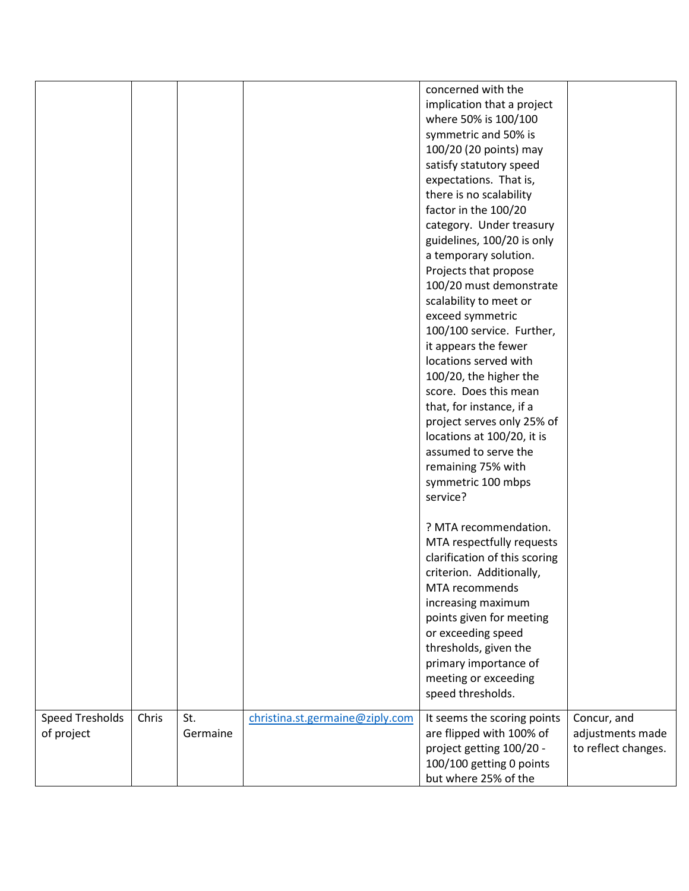|                        |       |          |                                 | concerned with the            |                     |
|------------------------|-------|----------|---------------------------------|-------------------------------|---------------------|
|                        |       |          |                                 | implication that a project    |                     |
|                        |       |          |                                 | where 50% is 100/100          |                     |
|                        |       |          |                                 | symmetric and 50% is          |                     |
|                        |       |          |                                 | 100/20 (20 points) may        |                     |
|                        |       |          |                                 | satisfy statutory speed       |                     |
|                        |       |          |                                 | expectations. That is,        |                     |
|                        |       |          |                                 | there is no scalability       |                     |
|                        |       |          |                                 | factor in the 100/20          |                     |
|                        |       |          |                                 | category. Under treasury      |                     |
|                        |       |          |                                 | guidelines, 100/20 is only    |                     |
|                        |       |          |                                 | a temporary solution.         |                     |
|                        |       |          |                                 | Projects that propose         |                     |
|                        |       |          |                                 | 100/20 must demonstrate       |                     |
|                        |       |          |                                 | scalability to meet or        |                     |
|                        |       |          |                                 | exceed symmetric              |                     |
|                        |       |          |                                 | 100/100 service. Further,     |                     |
|                        |       |          |                                 | it appears the fewer          |                     |
|                        |       |          |                                 | locations served with         |                     |
|                        |       |          |                                 | 100/20, the higher the        |                     |
|                        |       |          |                                 | score. Does this mean         |                     |
|                        |       |          |                                 | that, for instance, if a      |                     |
|                        |       |          |                                 | project serves only 25% of    |                     |
|                        |       |          |                                 | locations at 100/20, it is    |                     |
|                        |       |          |                                 | assumed to serve the          |                     |
|                        |       |          |                                 | remaining 75% with            |                     |
|                        |       |          |                                 | symmetric 100 mbps            |                     |
|                        |       |          |                                 | service?                      |                     |
|                        |       |          |                                 | ? MTA recommendation.         |                     |
|                        |       |          |                                 | MTA respectfully requests     |                     |
|                        |       |          |                                 | clarification of this scoring |                     |
|                        |       |          |                                 | criterion. Additionally,      |                     |
|                        |       |          |                                 | MTA recommends                |                     |
|                        |       |          |                                 | increasing maximum            |                     |
|                        |       |          |                                 | points given for meeting      |                     |
|                        |       |          |                                 | or exceeding speed            |                     |
|                        |       |          |                                 | thresholds, given the         |                     |
|                        |       |          |                                 | primary importance of         |                     |
|                        |       |          |                                 | meeting or exceeding          |                     |
|                        |       |          |                                 | speed thresholds.             |                     |
| <b>Speed Tresholds</b> | Chris | St.      | christina.st.germaine@ziply.com | It seems the scoring points   | Concur, and         |
| of project             |       | Germaine |                                 | are flipped with 100% of      | adjustments made    |
|                        |       |          |                                 | project getting 100/20 -      | to reflect changes. |
|                        |       |          |                                 | 100/100 getting 0 points      |                     |
|                        |       |          |                                 | but where 25% of the          |                     |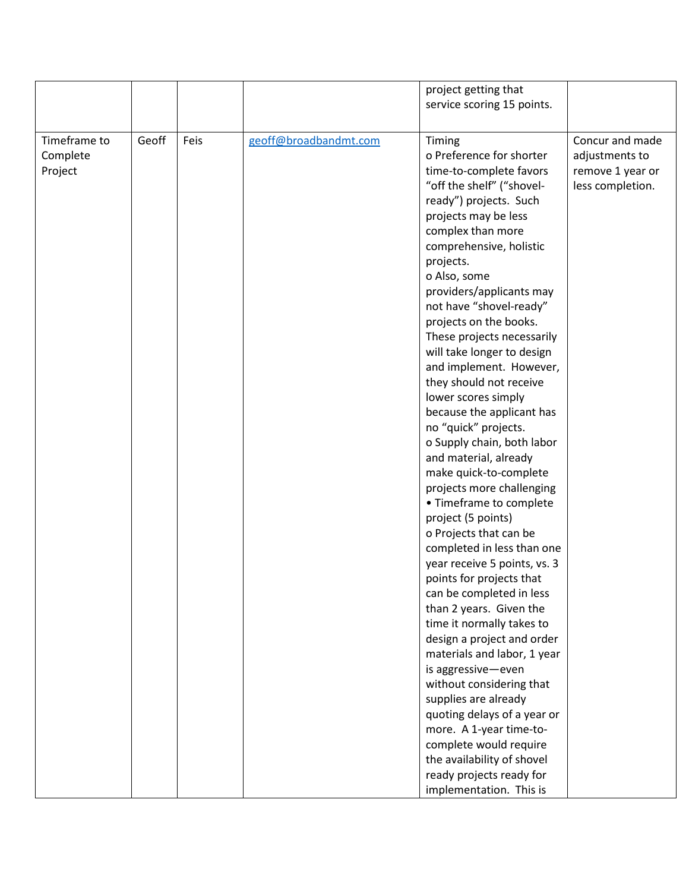|                                     |       |      |                       | project getting that                                                                                                                                                                                                                                                                                                                                                                                                                                                                                                                                                                                                                                                                                                                                                                                                                                                                                                                                                                                                                                                                                                                     |                                                                           |
|-------------------------------------|-------|------|-----------------------|------------------------------------------------------------------------------------------------------------------------------------------------------------------------------------------------------------------------------------------------------------------------------------------------------------------------------------------------------------------------------------------------------------------------------------------------------------------------------------------------------------------------------------------------------------------------------------------------------------------------------------------------------------------------------------------------------------------------------------------------------------------------------------------------------------------------------------------------------------------------------------------------------------------------------------------------------------------------------------------------------------------------------------------------------------------------------------------------------------------------------------------|---------------------------------------------------------------------------|
|                                     |       |      |                       |                                                                                                                                                                                                                                                                                                                                                                                                                                                                                                                                                                                                                                                                                                                                                                                                                                                                                                                                                                                                                                                                                                                                          |                                                                           |
| Timeframe to<br>Complete<br>Project | Geoff | Feis | geoff@broadbandmt.com | service scoring 15 points.<br>Timing<br>o Preference for shorter<br>time-to-complete favors<br>"off the shelf" ("shovel-<br>ready") projects. Such<br>projects may be less<br>complex than more<br>comprehensive, holistic<br>projects.<br>o Also, some<br>providers/applicants may<br>not have "shovel-ready"<br>projects on the books.<br>These projects necessarily<br>will take longer to design<br>and implement. However,<br>they should not receive<br>lower scores simply<br>because the applicant has<br>no "quick" projects.<br>o Supply chain, both labor<br>and material, already<br>make quick-to-complete<br>projects more challenging<br>• Timeframe to complete<br>project (5 points)<br>o Projects that can be<br>completed in less than one<br>year receive 5 points, vs. 3<br>points for projects that<br>can be completed in less<br>than 2 years. Given the<br>time it normally takes to<br>design a project and order<br>materials and labor, 1 year<br>is aggressive-even<br>without considering that<br>supplies are already<br>quoting delays of a year or<br>more. A 1-year time-to-<br>complete would require | Concur and made<br>adjustments to<br>remove 1 year or<br>less completion. |
|                                     |       |      |                       | the availability of shovel<br>ready projects ready for                                                                                                                                                                                                                                                                                                                                                                                                                                                                                                                                                                                                                                                                                                                                                                                                                                                                                                                                                                                                                                                                                   |                                                                           |
|                                     |       |      |                       | implementation. This is                                                                                                                                                                                                                                                                                                                                                                                                                                                                                                                                                                                                                                                                                                                                                                                                                                                                                                                                                                                                                                                                                                                  |                                                                           |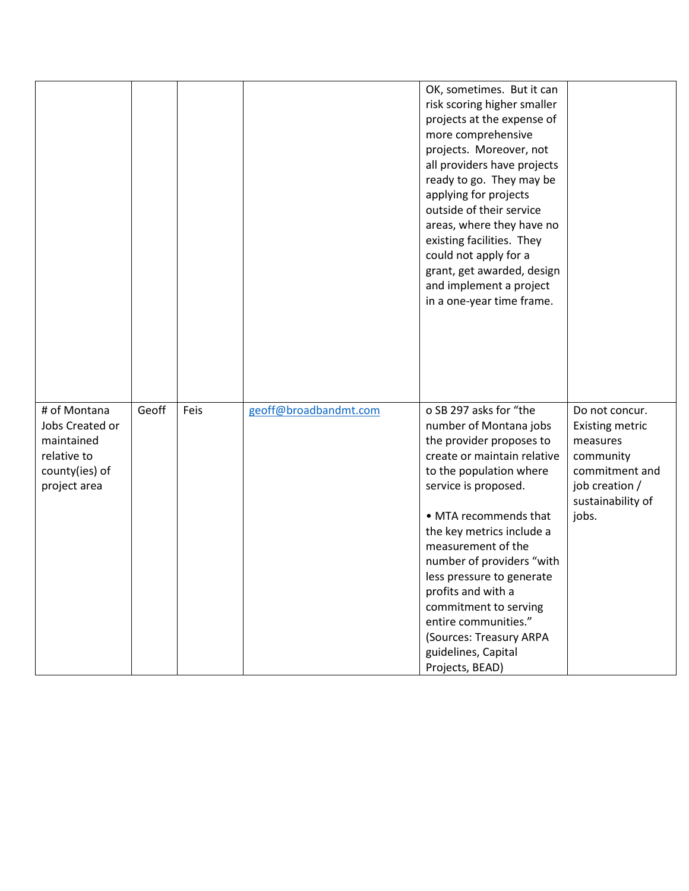|                                                                                                |       |      |                       | OK, sometimes. But it can<br>risk scoring higher smaller<br>projects at the expense of<br>more comprehensive<br>projects. Moreover, not<br>all providers have projects<br>ready to go. They may be<br>applying for projects<br>outside of their service<br>areas, where they have no<br>existing facilities. They<br>could not apply for a<br>grant, get awarded, design<br>and implement a project<br>in a one-year time frame.                 |                                                                                                                                     |
|------------------------------------------------------------------------------------------------|-------|------|-----------------------|--------------------------------------------------------------------------------------------------------------------------------------------------------------------------------------------------------------------------------------------------------------------------------------------------------------------------------------------------------------------------------------------------------------------------------------------------|-------------------------------------------------------------------------------------------------------------------------------------|
| # of Montana<br>Jobs Created or<br>maintained<br>relative to<br>county(ies) of<br>project area | Geoff | Feis | geoff@broadbandmt.com | o SB 297 asks for "the<br>number of Montana jobs<br>the provider proposes to<br>create or maintain relative<br>to the population where<br>service is proposed.<br>• MTA recommends that<br>the key metrics include a<br>measurement of the<br>number of providers "with<br>less pressure to generate<br>profits and with a<br>commitment to serving<br>entire communities."<br>(Sources: Treasury ARPA<br>guidelines, Capital<br>Projects, BEAD) | Do not concur.<br><b>Existing metric</b><br>measures<br>community<br>commitment and<br>job creation /<br>sustainability of<br>jobs. |